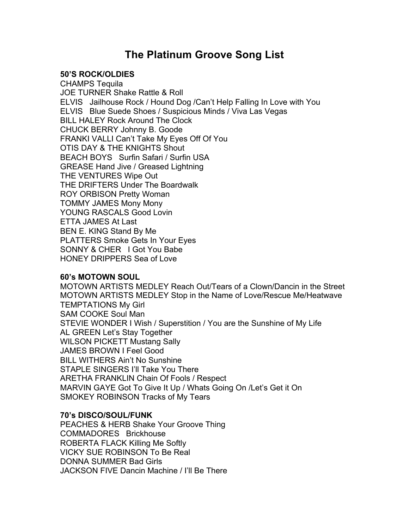# **The Platinum Groove Song List**

## **50'S ROCK/OLDIES**

CHAMPS Tequila JOE TURNER Shake Rattle & Roll ELVIS Jailhouse Rock / Hound Dog /Can't Help Falling In Love with You ELVIS Blue Suede Shoes / Suspicious Minds / Viva Las Vegas BILL HALEY Rock Around The Clock CHUCK BERRY Johnny B. Goode FRANKI VALLI Can't Take My Eyes Off Of You OTIS DAY & THE KNIGHTS Shout BEACH BOYS Surfin Safari / Surfin USA GREASE Hand Jive / Greased Lightning THE VENTURES Wipe Out THE DRIFTERS Under The Boardwalk ROY ORBISON Pretty Woman TOMMY JAMES Mony Mony YOUNG RASCALS Good Lovin ETTA JAMES At Last BEN E. KING Stand By Me PLATTERS Smoke Gets In Your Eyes SONNY & CHER I Got You Babe HONEY DRIPPERS Sea of Love

#### **60's MOTOWN SOUL**

MOTOWN ARTISTS MEDLEY Reach Out/Tears of a Clown/Dancin in the Street MOTOWN ARTISTS MEDLEY Stop in the Name of Love/Rescue Me/Heatwave TEMPTATIONS My Girl SAM COOKE Soul Man STEVIE WONDER I Wish / Superstition / You are the Sunshine of My Life AL GREEN Let's Stay Together WILSON PICKETT Mustang Sally JAMES BROWN I Feel Good BILL WITHERS Ain't No Sunshine STAPLE SINGERS I'll Take You There ARETHA FRANKLIN Chain Of Fools / Respect MARVIN GAYE Got To Give It Up / Whats Going On /Let's Get it On SMOKEY ROBINSON Tracks of My Tears

## **70's DISCO/SOUL/FUNK**

PEACHES & HERB Shake Your Groove Thing COMMADORES Brickhouse ROBERTA FLACK Killing Me Softly VICKY SUE ROBINSON To Be Real DONNA SUMMER Bad Girls JACKSON FIVE Dancin Machine / I'll Be There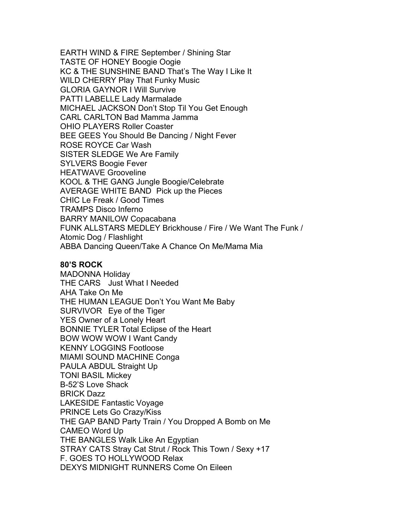EARTH WIND & FIRE September / Shining Star TASTE OF HONEY Boogie Oogie KC & THE SUNSHINE BAND That's The Way I Like It WILD CHERRY Play That Funky Music GLORIA GAYNOR I Will Survive PATTI LABELLE Lady Marmalade MICHAEL JACKSON Don't Stop Til You Get Enough CARL CARLTON Bad Mamma Jamma OHIO PLAYERS Roller Coaster BEE GEES You Should Be Dancing / Night Fever ROSE ROYCE Car Wash SISTER SLEDGE We Are Family SYLVERS Boogie Fever HEATWAVE Grooveline KOOL & THE GANG Jungle Boogie/Celebrate AVERAGE WHITE BAND Pick up the Pieces CHIC Le Freak / Good Times TRAMPS Disco Inferno BARRY MANILOW Copacabana FUNK ALLSTARS MEDLEY Brickhouse / Fire / We Want The Funk / Atomic Dog / Flashlight ABBA Dancing Queen/Take A Chance On Me/Mama Mia

## **80'S ROCK**

MADONNA Holiday THE CARS Just What I Needed AHA Take On Me THE HUMAN LEAGUE Don't You Want Me Baby SURVIVOR Eye of the Tiger YES Owner of a Lonely Heart BONNIE TYLER Total Eclipse of the Heart BOW WOW WOW I Want Candy KENNY LOGGINS Footloose MIAMI SOUND MACHINE Conga PAULA ABDUL Straight Up TONI BASIL Mickey B-52'S Love Shack BRICK Dazz LAKESIDE Fantastic Voyage PRINCE Lets Go Crazy/Kiss THE GAP BAND Party Train / You Dropped A Bomb on Me CAMEO Word Up THE BANGLES Walk Like An Egyptian STRAY CATS Stray Cat Strut / Rock This Town / Sexy +17 F. GOES TO HOLLYWOOD Relax DEXYS MIDNIGHT RUNNERS Come On Eileen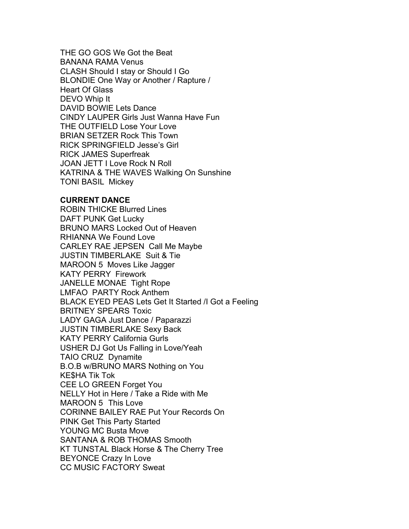THE GO GOS We Got the Beat BANANA RAMA Venus CLASH Should I stay or Should I Go BLONDIE One Way or Another / Rapture / Heart Of Glass DEVO Whip It DAVID BOWIE Lets Dance CINDY LAUPER Girls Just Wanna Have Fun THE OUTFIELD Lose Your Love BRIAN SETZER Rock This Town RICK SPRINGFIELD Jesse's Girl RICK JAMES Superfreak JOAN JETT I Love Rock N Roll KATRINA & THE WAVES Walking On Sunshine TONI BASIL Mickey

### **CURRENT DANCE**

ROBIN THICKE Blurred Lines DAFT PUNK Get Lucky BRUNO MARS Locked Out of Heaven RHIANNA We Found Love CARLEY RAE JEPSEN Call Me Maybe JUSTIN TIMBERLAKE Suit & Tie MAROON 5 Moves Like Jagger KATY PERRY Firework JANELLE MONAE Tight Rope LMFAO PARTY Rock Anthem BLACK EYED PEAS Lets Get It Started /I Got a Feeling BRITNEY SPEARS Toxic LADY GAGA Just Dance / Paparazzi JUSTIN TIMBERLAKE Sexy Back KATY PERRY California Gurls USHER DJ Got Us Falling in Love/Yeah TAIO CRUZ Dynamite B.O.B w/BRUNO MARS Nothing on You KE\$HA Tik Tok CEE LO GREEN Forget You NELLY Hot in Here / Take a Ride with Me MAROON 5 This Love CORINNE BAILEY RAE Put Your Records On PINK Get This Party Started YOUNG MC Busta Move SANTANA & ROB THOMAS Smooth KT TUNSTAL Black Horse & The Cherry Tree BEYONCE Crazy In Love CC MUSIC FACTORY Sweat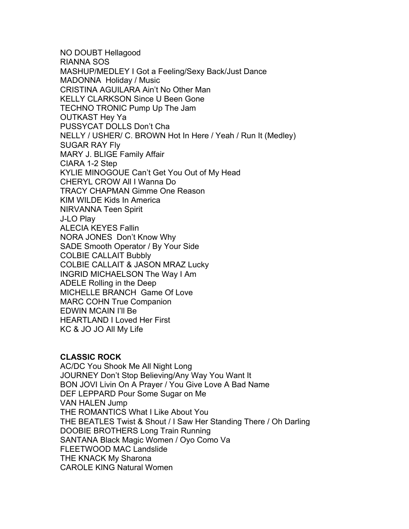NO DOUBT Hellagood RIANNA SOS MASHUP/MEDLEY I Got a Feeling/Sexy Back/Just Dance MADONNA Holiday / Music CRISTINA AGUILARA Ain't No Other Man KELLY CLARKSON Since U Been Gone TECHNO TRONIC Pump Up The Jam OUTKAST Hey Ya PUSSYCAT DOLLS Don't Cha NELLY / USHER/ C. BROWN Hot In Here / Yeah / Run It (Medley) SUGAR RAY Fly MARY J. BLIGE Family Affair CIARA 1-2 Step KYLIE MINOGOUE Can't Get You Out of My Head CHERYL CROW All I Wanna Do TRACY CHAPMAN Gimme One Reason KIM WILDE Kids In America NIRVANNA Teen Spirit J-LO Play ALECIA KEYES Fallin NORA JONES Don't Know Why SADE Smooth Operator / By Your Side COLBIE CALLAIT Bubbly COLBIE CALLAIT & JASON MRAZ Lucky INGRID MICHAELSON The Way I Am ADELE Rolling in the Deep MICHELLE BRANCH Game Of Love MARC COHN True Companion EDWIN MCAIN I'll Be HEARTLAND I Loved Her First KC & JO JO All My Life

## **CLASSIC ROCK**

AC/DC You Shook Me All Night Long JOURNEY Don't Stop Believing/Any Way You Want It BON JOVI Livin On A Prayer / You Give Love A Bad Name DEF LEPPARD Pour Some Sugar on Me VAN HALEN Jump THE ROMANTICS What I Like About You THE BEATLES Twist & Shout / I Saw Her Standing There / Oh Darling DOOBIE BROTHERS Long Train Running SANTANA Black Magic Women / Oyo Como Va FLEETWOOD MAC Landslide THE KNACK My Sharona CAROLE KING Natural Women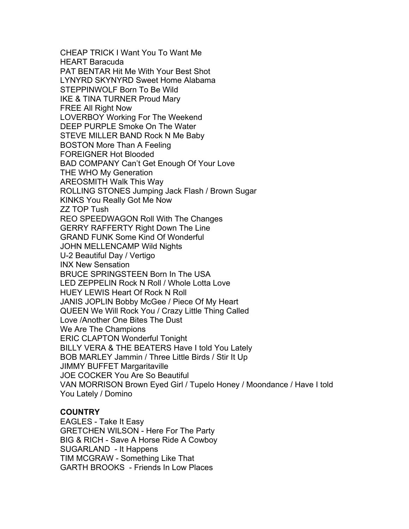CHEAP TRICK I Want You To Want Me HEART Baracuda PAT BENTAR Hit Me With Your Best Shot LYNYRD SKYNYRD Sweet Home Alabama STEPPINWOLF Born To Be Wild IKE & TINA TURNER Proud Mary FREE All Right Now LOVERBOY Working For The Weekend DEEP PURPLE Smoke On The Water STEVE MILLER BAND Rock N Me Baby BOSTON More Than A Feeling FOREIGNER Hot Blooded BAD COMPANY Can't Get Enough Of Your Love THE WHO My Generation AREOSMITH Walk This Way ROLLING STONES Jumping Jack Flash / Brown Sugar KINKS You Really Got Me Now ZZ TOP Tush REO SPEEDWAGON Roll With The Changes GERRY RAFFERTY Right Down The Line GRAND FUNK Some Kind Of Wonderful JOHN MELLENCAMP Wild Nights U-2 Beautiful Day / Vertigo INX New Sensation BRUCE SPRINGSTEEN Born In The USA LED ZEPPELIN Rock N Roll / Whole Lotta Love HUEY LEWIS Heart Of Rock N Roll JANIS JOPLIN Bobby McGee / Piece Of My Heart QUEEN We Will Rock You / Crazy Little Thing Called Love /Another One Bites The Dust We Are The Champions ERIC CLAPTON Wonderful Tonight BILLY VERA & THE BEATERS Have I told You Lately BOB MARLEY Jammin / Three Little Birds / Stir It Up JIMMY BUFFET Margaritaville JOE COCKER You Are So Beautiful VAN MORRISON Brown Eyed Girl / Tupelo Honey / Moondance / Have I told You Lately / Domino

## **COUNTRY**

EAGLES - Take It Easy GRETCHEN WILSON - Here For The Party BIG & RICH - Save A Horse Ride A Cowboy SUGARLAND - It Happens TIM MCGRAW - Something Like That GARTH BROOKS - Friends In Low Places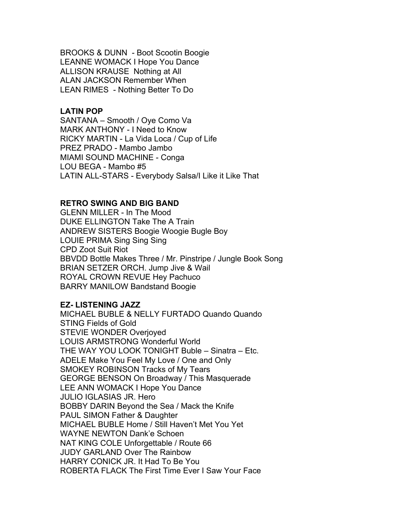BROOKS & DUNN - Boot Scootin Boogie LEANNE WOMACK I Hope You Dance ALLISON KRAUSE Nothing at All ALAN JACKSON Remember When LEAN RIMES - Nothing Better To Do

#### **LATIN POP**

SANTANA – Smooth / Oye Como Va MARK ANTHONY - I Need to Know RICKY MARTIN - La Vida Loca / Cup of Life PREZ PRADO - Mambo Jambo MIAMI SOUND MACHINE - Conga LOU BEGA - Mambo #5 LATIN ALL-STARS - Everybody Salsa/I Like it Like That

### **RETRO SWING AND BIG BAND**

GLENN MILLER - In The Mood DUKE ELLINGTON Take The A Train ANDREW SISTERS Boogie Woogie Bugle Boy LOUIE PRIMA Sing Sing Sing CPD Zoot Suit Riot BBVDD Bottle Makes Three / Mr. Pinstripe / Jungle Book Song BRIAN SETZER ORCH. Jump Jive & Wail ROYAL CROWN REVUE Hey Pachuco BARRY MANILOW Bandstand Boogie

### **EZ- LISTENING JAZZ**

MICHAEL BUBLE & NELLY FURTADO Quando Quando STING Fields of Gold STEVIE WONDER Overjoyed LOUIS ARMSTRONG Wonderful World THE WAY YOU LOOK TONIGHT Buble – Sinatra – Etc. ADELE Make You Feel My Love / One and Only SMOKEY ROBINSON Tracks of My Tears GEORGE BENSON On Broadway / This Masquerade LEE ANN WOMACK I Hope You Dance JULIO IGLASIAS JR. Hero BOBBY DARIN Beyond the Sea / Mack the Knife PAUL SIMON Father & Daughter MICHAEL BUBLE Home / Still Haven't Met You Yet WAYNE NEWTON Dank'e Schoen NAT KING COLE Unforgettable / Route 66 JUDY GARLAND Over The Rainbow HARRY CONICK JR. It Had To Be You ROBERTA FLACK The First Time Ever I Saw Your Face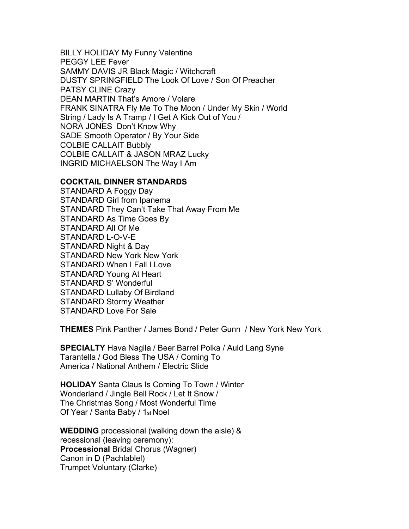BILLY HOLIDAY My Funny Valentine PEGGY LEE Fever SAMMY DAVIS JR Black Magic / Witchcraft DUSTY SPRINGFIELD The Look Of Love / Son Of Preacher PATSY CLINE Crazy DEAN MARTIN That's Amore / Volare FRANK SINATRA Fly Me To The Moon / Under My Skin / World String / Lady Is A Tramp / I Get A Kick Out of You / NORA JONES Don't Know Why SADE Smooth Operator / By Your Side COLBIE CALLAIT Bubbly COLBIE CALLAIT & JASON MRAZ Lucky INGRID MICHAELSON The Way I Am

#### **COCKTAIL DINNER STANDARDS**

STANDARD A Foggy Day STANDARD Girl from Ipanema STANDARD They Can't Take That Away From Me STANDARD As Time Goes By STANDARD All Of Me STANDARD L-O-V-E STANDARD Night & Day STANDARD New York New York STANDARD When I Fall I Love STANDARD Young At Heart STANDARD S' Wonderful STANDARD Lullaby Of Birdland STANDARD Stormy Weather STANDARD Love For Sale

**THEMES** Pink Panther / James Bond / Peter Gunn / New York New York

**SPECIALTY** Hava Nagila / Beer Barrel Polka / Auld Lang Syne Tarantella / God Bless The USA / Coming To America / National Anthem / Electric Slide

**HOLIDAY** Santa Claus Is Coming To Town / Winter Wonderland / Jingle Bell Rock / Let It Snow / The Christmas Song / Most Wonderful Time Of Year / Santa Baby / 1st Noel

**WEDDING** processional (walking down the aisle) & recessional (leaving ceremony): **Processional** Bridal Chorus (Wagner) Canon in D (Pachlablel) Trumpet Voluntary (Clarke)